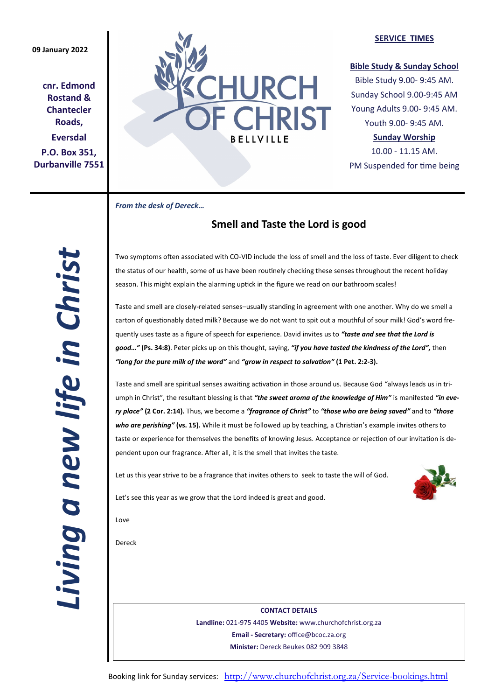## **09 January 2022**

**cnr. Edmond Rostand & Chantecler Roads, Eversdal P.O. Box 351, Durbanville 7551**



## **SERVICE TIMES**

## **Bible Study & Sunday School**

Bible Study 9.00- 9:45 AM. Sunday School 9.00-9:45 AM Young Adults 9.00- 9:45 AM. Youth 9.00- 9:45 AM.

## **Sunday Worship**

10.00 - 11.15 AM. PM Suspended for time being

*From the desk of Dereck…* 

# **Smell and Taste the Lord is good**

*Living a new life in Christ*  Living a new life in Christ

Two symptoms often associated with CO-VID include the loss of smell and the loss of taste. Ever diligent to check the status of our health, some of us have been routinely checking these senses throughout the recent holiday season. This might explain the alarming uptick in the figure we read on our bathroom scales!

Taste and smell are closely-related senses–usually standing in agreement with one another. Why do we smell a carton of questionably dated milk? Because we do not want to spit out a mouthful of sour milk! God's word frequently uses taste as a figure of speech for experience. David invites us to *"taste and see that the Lord is good…"* **(Ps. 34:8)**. Peter picks up on this thought, saying, *"if you have tasted the kindness of the Lord",* then *"long for the pure milk of the word"* and *"grow in respect to salvation"* **(1 Pet. 2:2-3).**

Taste and smell are spiritual senses awaiting activation in those around us. Because God "always leads us in triumph in Christ", the resultant blessing is that *"the sweet aroma of the knowledge of Him"* is manifested *"in every place"* **(2 Cor. 2:14).** Thus, we become a *"fragrance of Christ"* to *"those who are being saved"* and to *"those who are perishing"* **(vs. 15).** While it must be followed up by teaching, a Christian's example invites others to taste or experience for themselves the benefits of knowing Jesus. Acceptance or rejection of our invitation is dependent upon our fragrance. After all, it is the smell that invites the taste.

Let us this year strive to be a fragrance that invites others to seek to taste the will of God.



Let's see this year as we grow that the Lord indeed is great and good.

Love

Dereck

**CONTACT DETAILS Landline:** 021-975 4405 **Website:** www.churchofchrist.org.za **Email - Secretary:** office@bcoc.za.org **Minister:** Dereck Beukes 082 909 3848